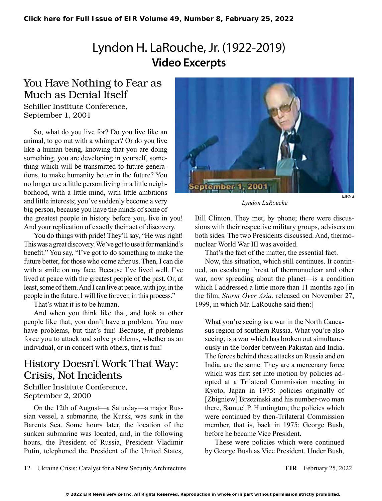# Lyndon H. LaRouche, Jr. (1922-2019) **Video Excerpts**

### You Have Nothing to Fear as Much as Denial Itself

Schiller Institute Conference, September 1, 2001

So, what do you live for? Do you live like an animal, to go out with a whimper? Or do you live like a human being, knowing that you are doing something, you are developing in yourself, something which will be transmitted to future generations, to make humanity better in the future? You no longer are a little person living in a little neighborhood, with a little mind, with little ambitions and little interests; you've suddenly become a very big person, because you have the minds of some of the greatest people in history before you, live in you! And your replication of exactly their act of discovery.

You do things with pride! They'll say, "He was right! This was a great discovery. We've got to use it for mankind's benefit." You say, "I've got to do something to make the future better, for those who come after us. Then, I can die with a smile on my face. Because I've lived well. I've lived at peace with the greatest people of the past. Or, at least, some of them. And I can live at peace, with joy, in the people in the future. I will live forever, in this process."

That's what it is to be human.

And when you think like that, and look at other people like that, you don't have a problem. You may have problems, but that's fun! Because, if problems force you to attack and solve problems, whether as an individual, or in concert with others, that is fun!

### History Doesn't Work That Way: Crisis, Not Incidents

#### Schiller Institute Conference, September 2, 2000

On the 12th of August—a Saturday—a major Russian vessel, a submarine, the Kursk, was sunk in the Barents Sea. Some hours later, the location of the sunken submarine was located, and, in the following hours, the President of Russia, President Vladimir Putin, telephoned the President of the United States,



*Lyndon LaRouche*

Bill Clinton. They met, by phone; there were discussions with their respective military groups, advisers on both sides. The two Presidents discussed. And, thermonuclear World War III was avoided.

That's the fact of the matter, the essential fact.

Now, this situation, which still continues. It continued, an escalating threat of thermonuclear and other war, now spreading about the planet—is a condition which I addressed a little more than 11 months ago [in] the film, *Storm Over Asia,* released on November 27, 1999, in which Mr. LaRouche said then:]

What you're seeing is a war in the North Caucasus region of southern Russia. What you're also seeing, is a war which has broken out simultaneously in the border between Pakistan and India. The forces behind these attacks on Russia and on India, are the same. They are a mercenary force which was first set into motion by policies adopted at a Trilateral Commission meeting in Kyoto, Japan in 1975: policies originally of [Zbigniew] Brzezinski and his number-two man there, Samuel P. Huntington; the policies which were continued by then-Trilateral Commission member, that is, back in 1975: George Bush, before he became Vice President.

These were policies which were continued by George Bush as Vice President. Under Bush,

12 Ukraine Crisis: Catalyst for a New Security Architecture **EIR** February 25, 2022